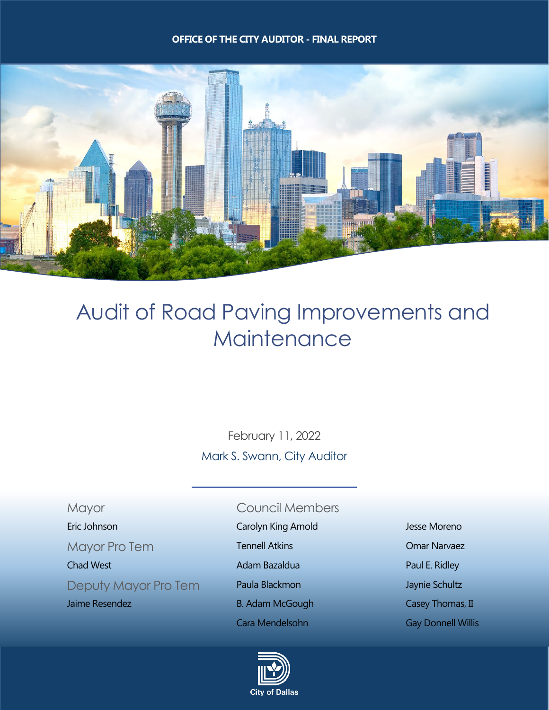#### **OFFICE OF THE CITY AUDITOR - FINAL REPORT**



# Audit of Road Paving Improvements and **Maintenance**

February 11, 2022 Mark S. Swann, City Auditor

#### Mayor Council Members

Deputy Mayor Pro Tem Paula Blackmon Deputy Maynie Schultz

- Eric Johnson Carolyn King Arnold Jesse Moreno
- Mayor Pro Tem **Tennell Atkins Communist Comar Narvaez** 
	-
	-
- Jaime Resendez **B. Adam McGough Casey Thomas, II** 
	- Cara Mendelsohn Gay Donnell Willis



Chad West **Adam Bazaldua** Paul E. Ridley **Chad West Paul E. Ridley**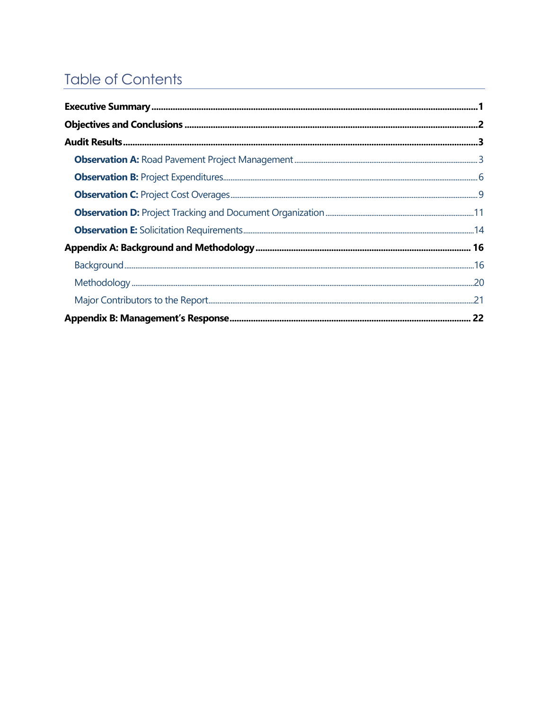## <span id="page-1-0"></span>**Table of Contents**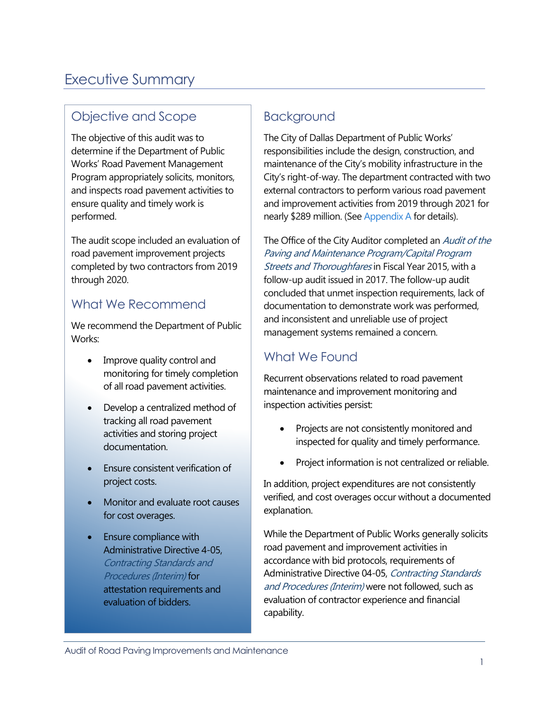### <span id="page-2-0"></span>[Executive Summary](#page-1-0)

### Objective and Scope

The objective of this audit was to determine if the Department of Public Works' Road Pavement Management Program appropriately solicits, monitors, and inspects road pavement activities to ensure quality and timely work is performed.

The audit scope included an evaluation of road pavement improvement projects completed by two contractors from 2019 through 2020.

### What We Recommend

We recommend the Department of Public Works:

- Improve quality control and monitoring for timely completion of all road pavement activities.
- Develop a centralized method of tracking all road pavement activities and storing project documentation.
- Ensure consistent verification of project costs.
- Monitor and evaluate root causes for cost overages.
- Ensure compliance with Administrative Directive 4-05, Contracting Standards and Procedures (Interim) for attestation requirements and evaluation of bidders.

### Background

The City of Dallas Department of Public Works' responsibilities include the design, construction, and maintenance of the City's mobility infrastructure in the City's right-of-way. The department contracted with two external contractors to perform various road pavement and improvement activities from 2019 through 2021 for nearly \$289 million. (See [Appendix A](#page-17-0) for details).

The Office of the City Auditor completed an *Audit of the* Paving and Maintenance Program/Capital Program Streets and Thoroughfares in Fiscal Year 2015, with a follow-up audit issued in 2017. The follow-up audit concluded that unmet inspection requirements, lack of documentation to demonstrate work was performed, and inconsistent and unreliable use of project management systems remained a concern.

### What We Found

Recurrent observations related to road pavement maintenance and improvement monitoring and inspection activities persist:

- Projects are not consistently monitored and inspected for quality and timely performance.
- Project information is not centralized or reliable.

In addition, project expenditures are not consistently verified, and cost overages occur without a documented explanation.

While the Department of Public Works generally solicits road pavement and improvement activities in accordance with bid protocols, requirements of Administrative Directive 04-05, Contracting Standards and Procedures (Interim) were not followed, such as evaluation of contractor experience and financial capability.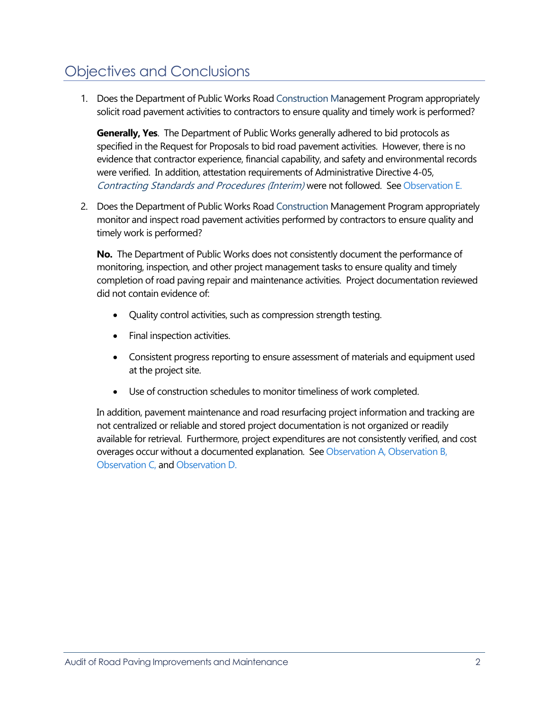### <span id="page-3-0"></span>[Objectives and Conclusions](#page-1-0)

1. Does the Department of Public Works Road Construction Management Program appropriately solicit road pavement activities to contractors to ensure quality and timely work is performed?

**Generally, Yes**. The Department of Public Works generally adhered to bid protocols as specified in the Request for Proposals to bid road pavement activities. However, there is no evidence that contractor experience, financial capability, and safety and environmental records were verified. In addition, attestation requirements of Administrative Directive 4-05, Contracting Standards and Procedures (Interim) were not followed. See [Observation E.](#page-15-0)

2. Does the Department of Public Works Road Construction Management Program appropriately monitor and inspect road pavement activities performed by contractors to ensure quality and timely work is performed?

**No.** The Department of Public Works does not consistently document the performance of monitoring, inspection, and other project management tasks to ensure quality and timely completion of road paving repair and maintenance activities. Project documentation reviewed did not contain evidence of:

- Quality control activities, such as compression strength testing.
- Final inspection activities.
- Consistent progress reporting to ensure assessment of materials and equipment used at the project site.
- Use of construction schedules to monitor timeliness of work completed.

In addition, pavement maintenance and road resurfacing project information and tracking are not centralized or reliable and stored project documentation is not organized or readily available for retrieval. Furthermore, project expenditures are not consistently verified, and cost overages occur without a documented explanation. See [Observation A,](#page-4-1) [Observation B,](#page-7-0)  [Observation C,](#page-8-0) and [Observation D.](#page-12-0)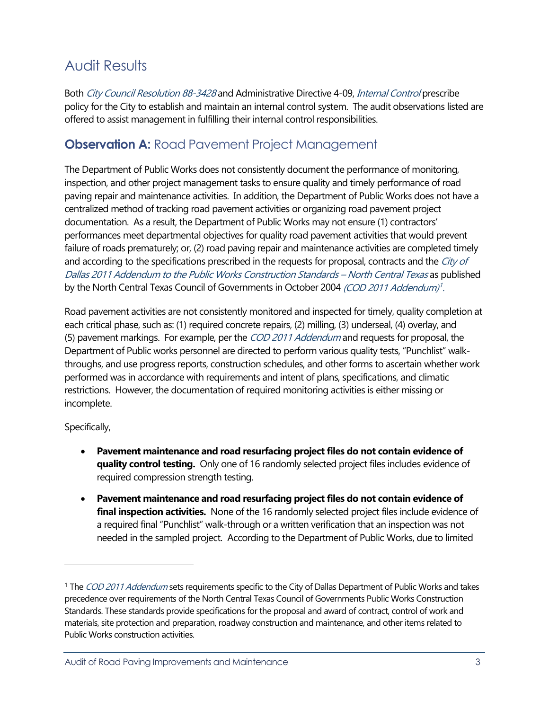### <span id="page-4-0"></span>[Audit Results](#page-1-0)

Both City Council Resolution 88-3428 and Administrative Directive 4-09, Internal Control prescribe policy for the City to establish and maintain an internal control system. The audit observations listed are offered to assist management in fulfilling their internal control responsibilities.

### <span id="page-4-1"></span>**Observation A: [Road Pavement Project Management](#page-1-0)**

The Department of Public Works does not consistently document the performance of monitoring, inspection, and other project management tasks to ensure quality and timely performance of road paving repair and maintenance activities. In addition, the Department of Public Works does not have a centralized method of tracking road pavement activities or organizing road pavement project documentation. As a result, the Department of Public Works may not ensure (1) contractors' performances meet departmental objectives for quality road pavement activities that would prevent failure of roads prematurely; or, (2) road paving repair and maintenance activities are completed timely and according to the specifications prescribed in the requests for proposal, contracts and the City of Dallas 2011 Addendum to the Public Works Construction Standards – North Central Texas as published by the North Central Texas Council of Governments in October 2004 (COD 20[1](#page-4-2)1 Addendum)<sup>1</sup>.

Road pavement activities are not consistently monitored and inspected for timely, quality completion at each critical phase, such as: (1) required concrete repairs, (2) milling, (3) underseal, (4) overlay, and (5) pavement markings. For example, per the *COD 2011 Addendum* and requests for proposal, the Department of Public works personnel are directed to perform various quality tests, "Punchlist" walkthroughs, and use progress reports, construction schedules, and other forms to ascertain whether work performed was in accordance with requirements and intent of plans, specifications, and climatic restrictions. However, the documentation of required monitoring activities is either missing or incomplete.

Specifically,

- **Pavement maintenance and road resurfacing project files do not contain evidence of quality control testing.** Only one of 16 randomly selected project files includes evidence of required compression strength testing.
- **Pavement maintenance and road resurfacing project files do not contain evidence of final inspection activities.** None of the 16 randomly selected project files include evidence of a required final "Punchlist" walk-through or a written verification that an inspection was not needed in the sampled project. According to the Department of Public Works, due to limited

<span id="page-4-2"></span><sup>&</sup>lt;sup>1</sup> The *COD 2011 Addendum* sets requirements specific to the City of Dallas Department of Public Works and takes precedence over requirements of the North Central Texas Council of Governments Public Works Construction Standards. These standards provide specifications for the proposal and award of contract, control of work and materials, site protection and preparation, roadway construction and maintenance, and other items related to Public Works construction activities.

Audit of Road Paving Improvements and Maintenance 3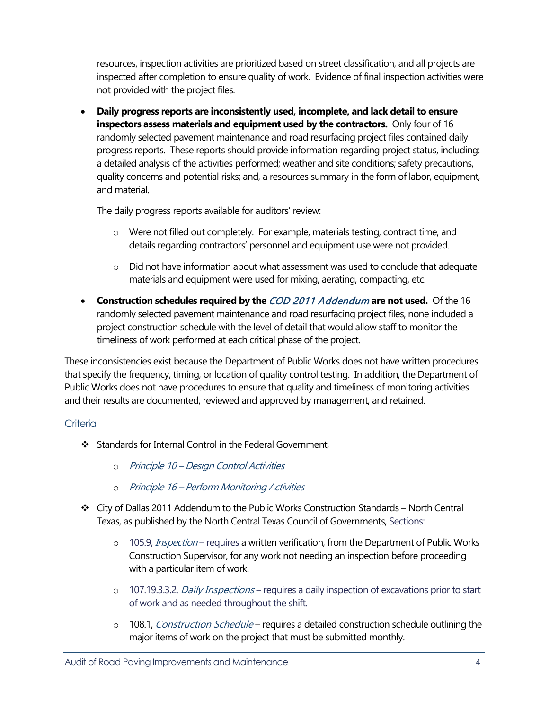resources, inspection activities are prioritized based on street classification, and all projects are inspected after completion to ensure quality of work. Evidence of final inspection activities were not provided with the project files.

• **Daily progress reports are inconsistently used, incomplete, and lack detail to ensure inspectors assess materials and equipment used by the contractors.** Only four of 16 randomly selected pavement maintenance and road resurfacing project files contained daily progress reports. These reports should provide information regarding project status, including: a detailed analysis of the activities performed; weather and site conditions; safety precautions, quality concerns and potential risks; and, a resources summary in the form of labor, equipment, and material.

The daily progress reports available for auditors' review:

- o Were not filled out completely. For example, materials testing, contract time, and details regarding contractors' personnel and equipment use were not provided.
- o Did not have information about what assessment was used to conclude that adequate materials and equipment were used for mixing, aerating, compacting, etc.
- **Construction schedules required by the** COD 2011 Addendum **are not used.** Of the 16 randomly selected pavement maintenance and road resurfacing project files, none included a project construction schedule with the level of detail that would allow staff to monitor the timeliness of work performed at each critical phase of the project.

These inconsistencies exist because the Department of Public Works does not have written procedures that specify the frequency, timing, or location of quality control testing. In addition, the Department of Public Works does not have procedures to ensure that quality and timeliness of monitoring activities and their results are documented, reviewed and approved by management, and retained.

### **Criteria**

- Standards for Internal Control in the Federal Government,
	- o Principle 10 Design Control Activities
	- o Principle 16 Perform Monitoring Activities
- $\div$  City of Dallas 2011 Addendum to the Public Works Construction Standards North Central Texas, as published by the North Central Texas Council of Governments, Sections:
	- o 105.9, *Inspection* requires a written verification, from the Department of Public Works Construction Supervisor, for any work not needing an inspection before proceeding with a particular item of work.
	- o 107.19.3.3.2, Daily Inspections requires a daily inspection of excavations prior to start of work and as needed throughout the shift.
	- o 108.1, Construction Schedule requires a detailed construction schedule outlining the major items of work on the project that must be submitted monthly.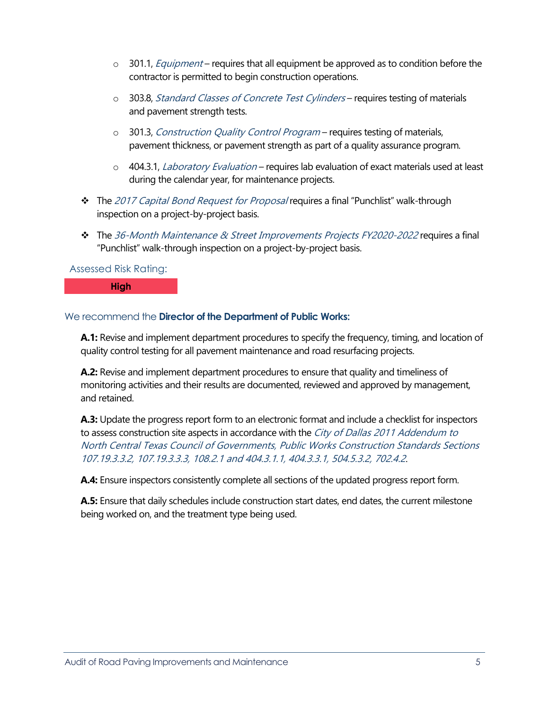- $\circ$  301.1, *Equipment* requires that all equipment be approved as to condition before the contractor is permitted to begin construction operations.
- o 303.8, Standard Classes of Concrete Test Cylinders requires testing of materials and pavement strength tests.
- o 301.3, Construction Quality Control Program requires testing of materials, pavement thickness, or pavement strength as part of a quality assurance program.
- o 404.3.1, *Laboratory Evaluation* requires lab evaluation of exact materials used at least during the calendar year, for maintenance projects.
- **↑** The 2017 Capital Bond Request for Proposal requires a final "Punchlist" walk-through inspection on a project-by-project basis.
- \* The 36-Month Maintenance & Street Improvements Projects FY2020-2022 requires a final "Punchlist" walk-through inspection on a project-by-project basis.

#### Assessed Risk Rating:

**High**

#### We recommend the **Director of the Department of Public Works:**

**A.1:** Revise and implement department procedures to specify the frequency, timing, and location of quality control testing for all pavement maintenance and road resurfacing projects.

**A.2:** Revise and implement department procedures to ensure that quality and timeliness of monitoring activities and their results are documented, reviewed and approved by management, and retained.

**A.3:** Update the progress report form to an electronic format and include a checklist for inspectors to assess construction site aspects in accordance with the City of Dallas 2011 Addendum to North Central Texas Council of Governments, Public Works Construction Standards Sections 107.19.3.3.2, 107.19.3.3.3, 108.2.1 and 404.3.1.1, 404.3.3.1, 504.5.3.2, 702.4.2.

**A.4:** Ensure inspectors consistently complete all sections of the updated progress report form.

**A.5:** Ensure that daily schedules include construction start dates, end dates, the current milestone being worked on, and the treatment type being used.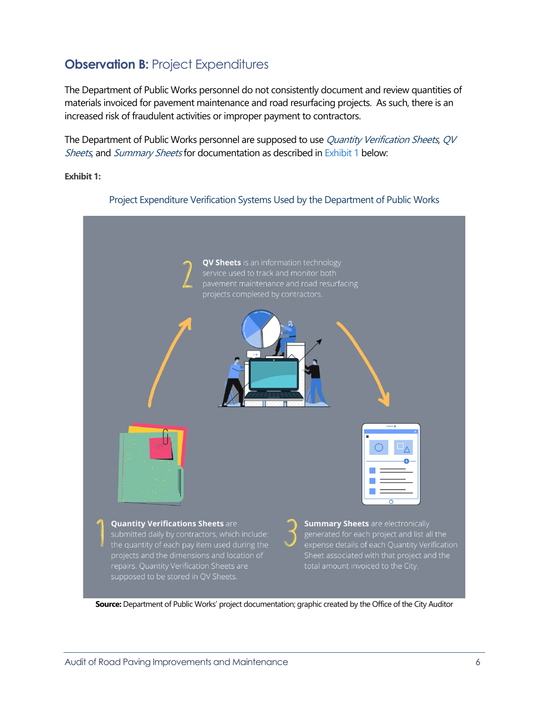### <span id="page-7-0"></span>**Observation B: [Project Expenditures](#page-1-0)**

The Department of Public Works personnel do not consistently document and review quantities of materials invoiced for pavement maintenance and road resurfacing projects. As such, there is an increased risk of fraudulent activities or improper payment to contractors.

The Department of Public Works personnel are supposed to use Quantity Verification Sheets, QV Sheets, and Summary Sheets for documentation as described in [Exhibit 1](#page-7-1) below:

<span id="page-7-1"></span>**Exhibit 1:**



Project Expenditure Verification Systems Used by the Department of Public Works

**Source:** Department of Public Works' project documentation; graphic created by the Office of the City Auditor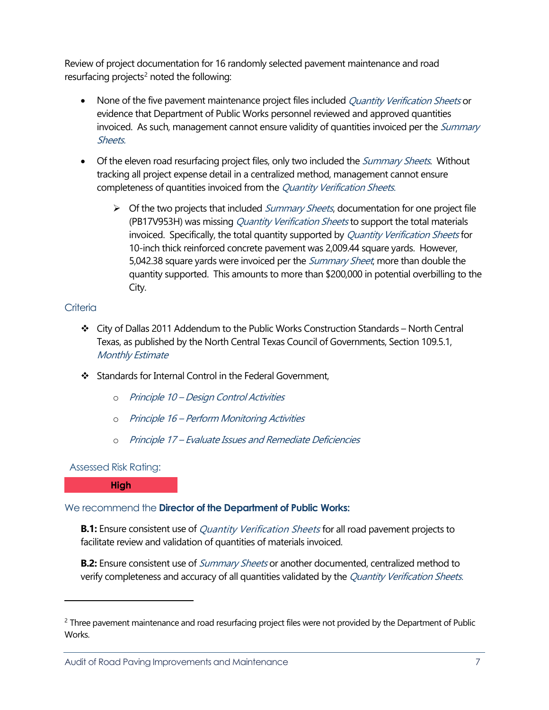Review of project documentation for 16 randomly selected pavement maintenance and road resurfacing projects<sup>[2](#page-8-1)</sup> noted the following:

- None of the five pavement maintenance project files included *Quantity Verification Sheets* or evidence that Department of Public Works personnel reviewed and approved quantities invoiced. As such, management cannot ensure validity of quantities invoiced per the Summary Sheets.
- Of the eleven road resurfacing project files, only two included the *Summary Sheets*. Without tracking all project expense detail in a centralized method, management cannot ensure completeness of quantities invoiced from the Quantity Verification Sheets.
	- $\triangleright$  Of the two projects that included *Summary Sheets*, documentation for one project file (PB17V953H) was missing *Quantity Verification Sheets* to support the total materials invoiced. Specifically, the total quantity supported by Quantity Verification Sheets for 10-inch thick reinforced concrete pavement was 2,009.44 square yards. However, 5,042.38 square yards were invoiced per the *Summary Sheet*, more than double the quantity supported. This amounts to more than \$200,000 in potential overbilling to the City.

#### **Criteria**

- $\div$  City of Dallas 2011 Addendum to the Public Works Construction Standards North Central Texas, as published by the North Central Texas Council of Governments, Section 109.5.1, Monthly Estimate
- Standards for Internal Control in the Federal Government.
	- o Principle 10 Design Control Activities
	- o Principle 16 Perform Monitoring Activities
	- o Principle 17 Evaluate Issues and Remediate Deficiencies

#### Assessed Risk Rating:

<span id="page-8-0"></span>**High**

### We recommend the **Director of the Department of Public Works:**

**B.1:** Ensure consistent use of *Quantity Verification Sheets* for all road pavement projects to facilitate review and validation of quantities of materials invoiced.

**B.2:** Ensure consistent use of *Summary Sheets* or another documented, centralized method to verify completeness and accuracy of all quantities validated by the Quantity Verification Sheets.

<span id="page-8-1"></span><sup>&</sup>lt;sup>2</sup> Three pavement maintenance and road resurfacing project files were not provided by the Department of Public Works.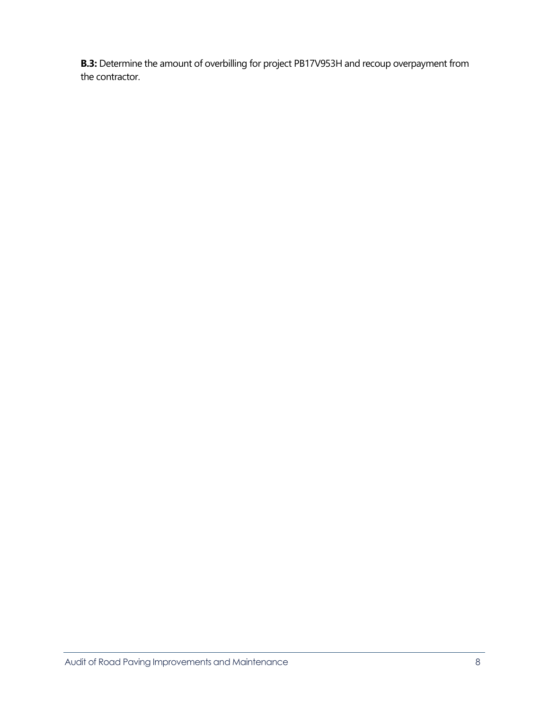**B.3:** Determine the amount of overbilling for project PB17V953H and recoup overpayment from the contractor.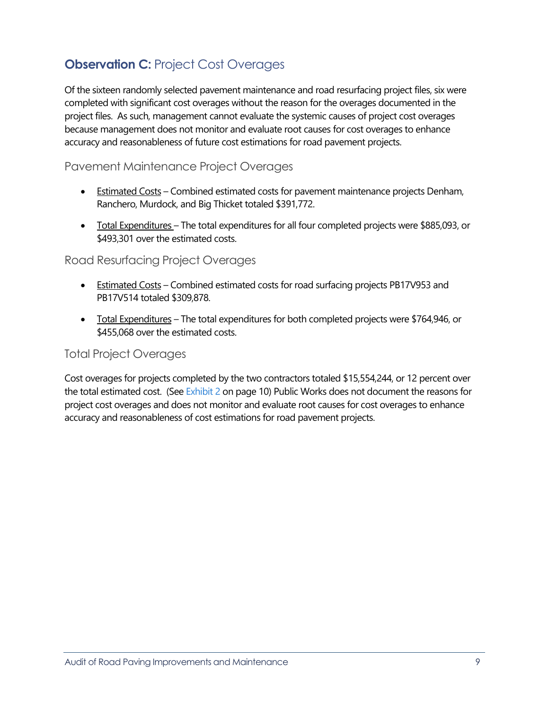### <span id="page-10-0"></span>**Observation C: [Project Cost Overages](#page-1-0)**

Of the sixteen randomly selected pavement maintenance and road resurfacing project files, six were completed with significant cost overages without the reason for the overages documented in the project files. As such, management cannot evaluate the systemic causes of project cost overages because management does not monitor and evaluate root causes for cost overages to enhance accuracy and reasonableness of future cost estimations for road pavement projects.

### Pavement Maintenance Project Overages

- Estimated Costs Combined estimated costs for pavement maintenance projects Denham, Ranchero, Murdock, and Big Thicket totaled \$391,772.
- Total Expenditures The total expenditures for all four completed projects were \$885,093, or \$493,301 over the estimated costs.

### Road Resurfacing Project Overages

- Estimated Costs Combined estimated costs for road surfacing projects PB17V953 and PB17V514 totaled \$309,878.
- Total Expenditures The total expenditures for both completed projects were \$764,946, or \$455,068 over the estimated costs.

### Total Project Overages

Cost overages for projects completed by the two contractors totaled \$15,554,244, or 12 percent over the total estimated cost. (Se[e Exhibit 2](#page-11-0) on page 10) Public Works does not document the reasons for project cost overages and does not monitor and evaluate root causes for cost overages to enhance accuracy and reasonableness of cost estimations for road pavement projects.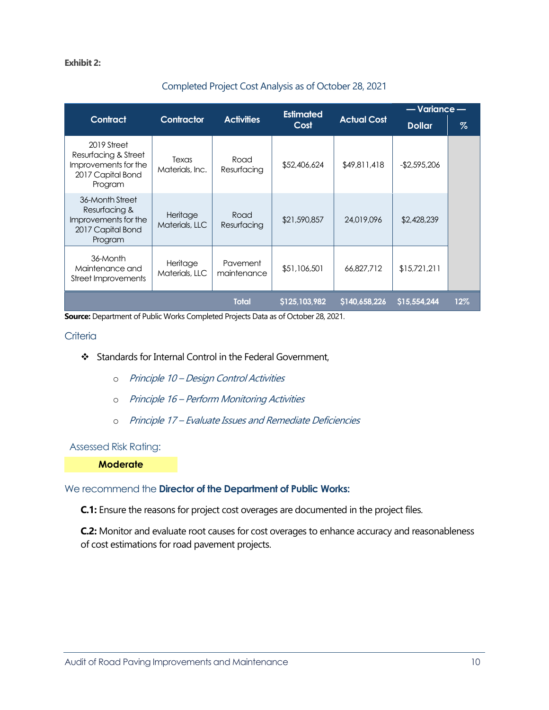#### <span id="page-11-0"></span>**Exhibit 2:**

| Completed Froject Cost Analysis as Of October 20, 2021                                      |                            |                         |                          |                    |                                   |     |
|---------------------------------------------------------------------------------------------|----------------------------|-------------------------|--------------------------|--------------------|-----------------------------------|-----|
| <b>Contract</b>                                                                             | Contractor                 | <b>Activities</b>       | <b>Estimated</b><br>Cost | <b>Actual Cost</b> | $-$ Variance $-$<br><b>Dollar</b> | %   |
| 2019 Street<br>Resurfacing & Street<br>Improvements for the<br>2017 Capital Bond<br>Program | Texas<br>Materials, Inc.   | Road<br>Resurfacing     | \$52,406,624             | \$49,811,418       | -\$2,595,206                      |     |
| 36-Month Street<br>Resurfacing &<br>Improvements for the<br>2017 Capital Bond<br>Program    | Heritage<br>Materials, LLC | Road<br>Resurfacing     | \$21,590,857             | 24,019,096         | \$2,428,239                       |     |
| 36-Month<br>Maintenance and<br>Street Improvements                                          | Heritage<br>Materials, LLC | Pavement<br>maintenance | \$51,106,501             | 66,827,712         | \$15,721,211                      |     |
|                                                                                             |                            | <b>Total</b>            | \$125,103,982            | \$140,658,226      | \$15,554,244                      | 12% |

### Completed Project Cost Analysis as of October 28, 2021

**Source:** Department of Public Works Completed Projects Data as of October 28, 2021.

#### **Criteria**

- Standards for Internal Control in the Federal Government,
	- o Principle 10 Design Control Activities
	- o Principle 16 Perform Monitoring Activities
	- o Principle 17 Evaluate Issues and Remediate Deficiencies

#### Assessed Risk Rating:

**Moderate**

#### We recommend the **Director of the Department of Public Works:**

**C.1:** Ensure the reasons for project cost overages are documented in the project files.

**C.2:** Monitor and evaluate root causes for cost overages to enhance accuracy and reasonableness of cost estimations for road pavement projects.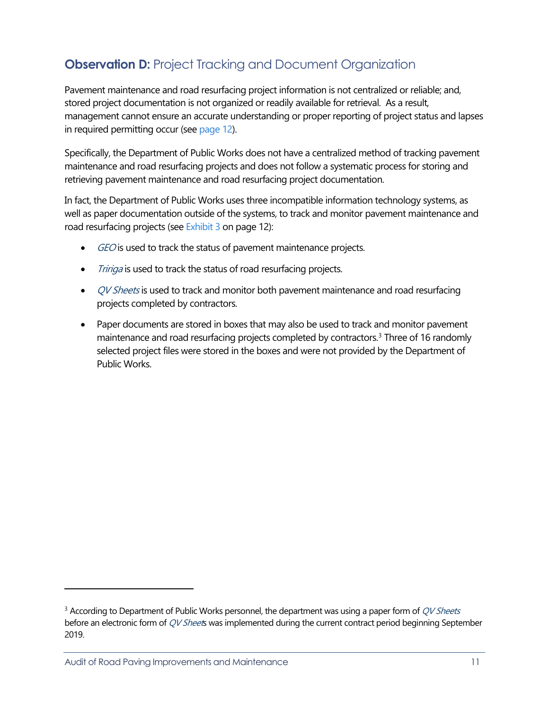### <span id="page-12-0"></span>**Observation D:** [Project Tracking and Document Organization](#page-1-0)

Pavement maintenance and road resurfacing project information is not centralized or reliable; and, stored project documentation is not organized or readily available for retrieval. As a result, management cannot ensure an accurate understanding or proper reporting of project status and lapses in required permitting occur (see [page 12\)](#page-13-0).

Specifically, the Department of Public Works does not have a centralized method of tracking pavement maintenance and road resurfacing projects and does not follow a systematic process for storing and retrieving pavement maintenance and road resurfacing project documentation.

In fact, the Department of Public Works uses three incompatible information technology systems, as well as paper documentation outside of the systems, to track and monitor pavement maintenance and road resurfacing projects (se[e Exhibit 3](#page-13-1) on page 12):

- GEO is used to track the status of pavement maintenance projects.
- Tririga is used to track the status of road resurfacing projects.
- QV Sheets is used to track and monitor both pavement maintenance and road resurfacing projects completed by contractors.
- Paper documents are stored in boxes that may also be used to track and monitor pavement maintenance and road resurfacing projects completed by contractors.<sup>3</sup> Three of 16 randomly selected project files were stored in the boxes and were not provided by the Department of Public Works.

<span id="page-12-1"></span> $3$  According to Department of Public Works personnel, the department was using a paper form of  $QV$  Sheets before an electronic form of QV Sheets was implemented during the current contract period beginning September 2019.

Audit of Road Paving Improvements and Maintenance 11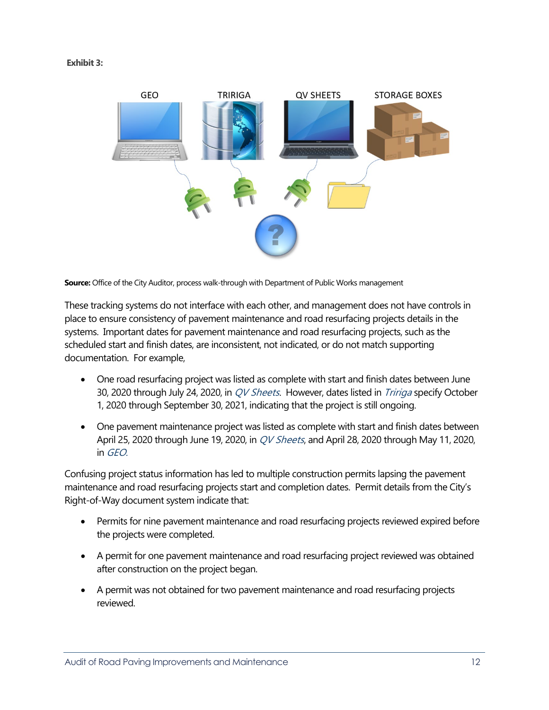<span id="page-13-1"></span>

**Source:** Office of the City Auditor, process walk-through with Department of Public Works management

<span id="page-13-0"></span>These tracking systems do not interface with each other, and management does not have controls in place to ensure consistency of pavement maintenance and road resurfacing projects details in the systems. Important dates for pavement maintenance and road resurfacing projects, such as the scheduled start and finish dates, are inconsistent, not indicated, or do not match supporting documentation. For example,

- One road resurfacing project was listed as complete with start and finish dates between June 30, 2020 through July 24, 2020, in *QV Sheets*. However, dates listed in *Tririga* specify October 1, 2020 through September 30, 2021, indicating that the project is still ongoing.
- One pavement maintenance project was listed as complete with start and finish dates between April 25, 2020 through June 19, 2020, in *QV Sheets*, and April 28, 2020 through May 11, 2020, in GEO.

Confusing project status information has led to multiple construction permits lapsing the pavement maintenance and road resurfacing projects start and completion dates. Permit details from the City's Right-of-Way document system indicate that:

- Permits for nine pavement maintenance and road resurfacing projects reviewed expired before the projects were completed.
- A permit for one pavement maintenance and road resurfacing project reviewed was obtained after construction on the project began.
- A permit was not obtained for two pavement maintenance and road resurfacing projects reviewed.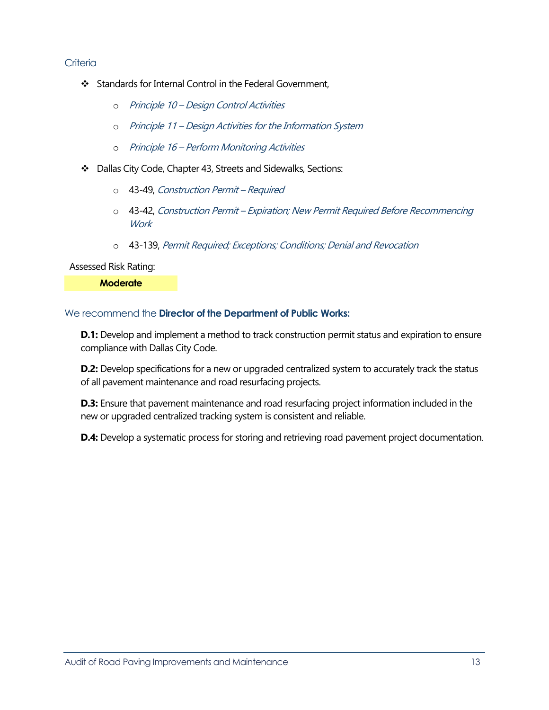#### **Criteria**

- Standards for Internal Control in the Federal Government,
	- o Principle 10 Design Control Activities
	- o Principle 11 Design Activities for the Information System
	- o Principle 16 Perform Monitoring Activities
- Dallas City Code, Chapter 43, Streets and Sidewalks, Sections:
	- o 43-49, Construction Permit Required
	- o 43-42, Construction Permit Expiration; New Permit Required Before Recommencing **Work**
	- o 43-139, Permit Required; Exceptions; Conditions; Denial and Revocation

Assessed Risk Rating:

**Moderate**

#### We recommend the **Director of the Department of Public Works:**

**D.1:** Develop and implement a method to track construction permit status and expiration to ensure compliance with Dallas City Code.

**D.2:** Develop specifications for a new or upgraded centralized system to accurately track the status of all pavement maintenance and road resurfacing projects.

**D.3:** Ensure that pavement maintenance and road resurfacing project information included in the new or upgraded centralized tracking system is consistent and reliable.

**D.4:** Develop a systematic process for storing and retrieving road pavement project documentation.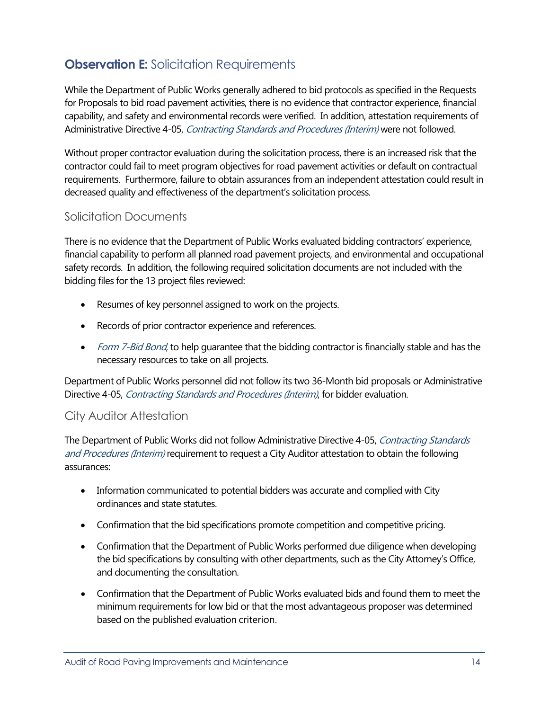### <span id="page-15-0"></span>**Observation E:** [Solicitation Requirements](#page-1-0)

While the Department of Public Works generally adhered to bid protocols as specified in the Requests for Proposals to bid road pavement activities, there is no evidence that contractor experience, financial capability, and safety and environmental records were verified. In addition, attestation requirements of Administrative Directive 4-05, Contracting Standards and Procedures (Interim) were not followed.

Without proper contractor evaluation during the solicitation process, there is an increased risk that the contractor could fail to meet program objectives for road pavement activities or default on contractual requirements. Furthermore, failure to obtain assurances from an independent attestation could result in decreased quality and effectiveness of the department's solicitation process.

### Solicitation Documents

There is no evidence that the Department of Public Works evaluated bidding contractors' experience, financial capability to perform all planned road pavement projects, and environmental and occupational safety records. In addition, the following required solicitation documents are not included with the bidding files for the 13 project files reviewed:

- Resumes of key personnel assigned to work on the projects.
- Records of prior contractor experience and references.
- Form 7-Bid Bond, to help quarantee that the bidding contractor is financially stable and has the necessary resources to take on all projects.

Department of Public Works personnel did not follow its two 36-Month bid proposals or Administrative Directive 4-05, Contracting Standards and Procedures (Interim), for bidder evaluation.

### City Auditor Attestation

The Department of Public Works did not follow Administrative Directive 4-05, Contracting Standards and Procedures (Interim) requirement to request a City Auditor attestation to obtain the following assurances:

- Information communicated to potential bidders was accurate and complied with City ordinances and state statutes.
- Confirmation that the bid specifications promote competition and competitive pricing.
- Confirmation that the Department of Public Works performed due diligence when developing the bid specifications by consulting with other departments, such as the City Attorney's Office, and documenting the consultation.
- Confirmation that the Department of Public Works evaluated bids and found them to meet the minimum requirements for low bid or that the most advantageous proposer was determined based on the published evaluation criterion.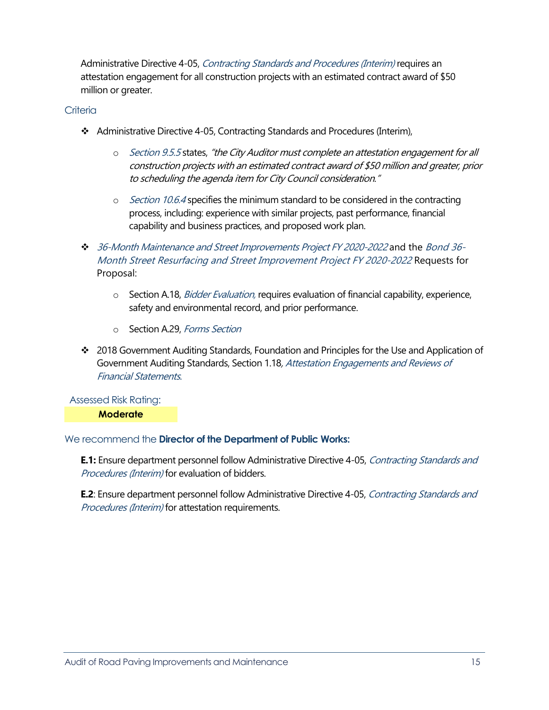Administrative Directive 4-05, Contracting Standards and Procedures (Interim) requires an attestation engagement for all construction projects with an estimated contract award of \$50 million or greater.

#### **Criteria**

- Administrative Directive 4-05, Contracting Standards and Procedures (Interim),
	- o Section 9.5.5 states, "the City Auditor must complete an attestation engagement for all construction projects with an estimated contract award of \$50 million and greater, prior to scheduling the agenda item for City Council consideration."
	- $\circ$  *Section 10.6.4* specifies the minimum standard to be considered in the contracting process, including: experience with similar projects, past performance, financial capability and business practices, and proposed work plan.
- 36-Month Maintenance and Street Improvements Project FY 2020-2022 and the Bond 36- Month Street Resurfacing and Street Improvement Project FY 2020-2022 Requests for Proposal:
	- o Section A.18, Bidder Evaluation, requires evaluation of financial capability, experience, safety and environmental record, and prior performance.
	- o Section A.29, Forms Section
- 2018 Government Auditing Standards, Foundation and Principles for the Use and Application of Government Auditing Standards, Section 1.18, Attestation Engagements and Reviews of Financial Statements.

Assessed Risk Rating:

**Moderate**

### We recommend the **Director of the Department of Public Works:**

**E.1:** Ensure department personnel follow Administrative Directive 4-05, Contracting Standards and Procedures (Interim) for evaluation of bidders.

**E.2**: Ensure department personnel follow Administrative Directive 4-05, Contracting Standards and Procedures (Interim) for attestation requirements.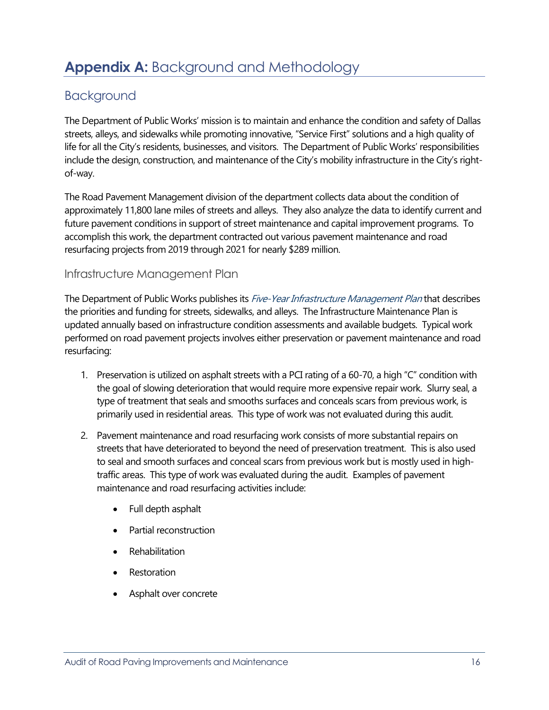### <span id="page-17-0"></span>**Appendix A:** [Background and Methodology](#page-1-0)

### <span id="page-17-1"></span>[Background](#page-1-0)

The Department of Public Works' mission is to maintain and enhance the condition and safety of Dallas streets, alleys, and sidewalks while promoting innovative, "Service First" solutions and a high quality of life for all the City's residents, businesses, and visitors. The Department of Public Works' responsibilities include the design, construction, and maintenance of the City's mobility infrastructure in the City's rightof-way.

The Road Pavement Management division of the department collects data about the condition of approximately 11,800 lane miles of streets and alleys. They also analyze the data to identify current and future pavement conditions in support of street maintenance and capital improvement programs. To accomplish this work, the department contracted out various pavement maintenance and road resurfacing projects from 2019 through 2021 for nearly \$289 million.

### Infrastructure Management Plan

The Department of Public Works publishes its Five-Year Infrastructure Management Plan that describes the priorities and funding for streets, sidewalks, and alleys. The Infrastructure Maintenance Plan is updated annually based on infrastructure condition assessments and available budgets. Typical work performed on road pavement projects involves either preservation or pavement maintenance and road resurfacing:

- 1. Preservation is utilized on asphalt streets with a PCI rating of a 60-70, a high "C" condition with the goal of slowing deterioration that would require more expensive repair work. Slurry seal, a type of treatment that seals and smooths surfaces and conceals scars from previous work, is primarily used in residential areas. This type of work was not evaluated during this audit.
- 2. Pavement maintenance and road resurfacing work consists of more substantial repairs on streets that have deteriorated to beyond the need of preservation treatment. This is also used to seal and smooth surfaces and conceal scars from previous work but is mostly used in hightraffic areas. This type of work was evaluated during the audit. Examples of pavement maintenance and road resurfacing activities include:
	- Full depth asphalt
	- Partial reconstruction
	- **Rehabilitation**
	- **Restoration**
	- Asphalt over concrete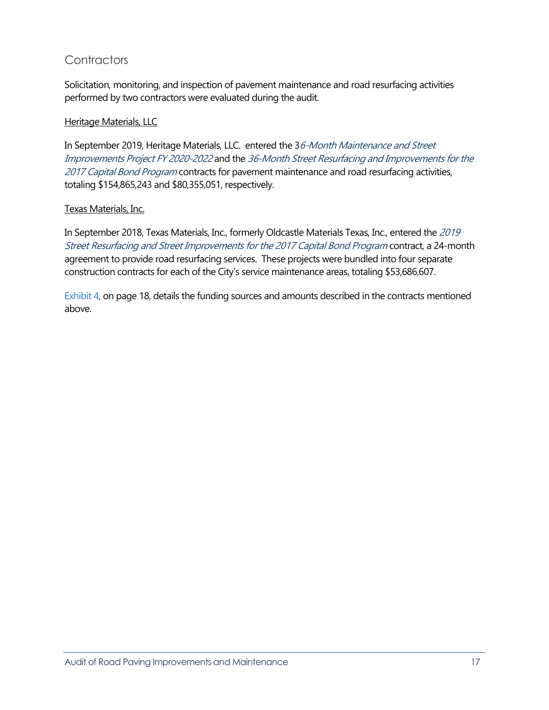### **Contractors**

Solicitation, monitoring, and inspection of pavement maintenance and road resurfacing activities performed by two contractors were evaluated during the audit.

### **Heritage Materials, LLC**

In September 2019, Heritage Materials, LLC. entered the 36-Month Maintenance and Street Improvements Project FY 2020-2022 and the 36-Month Street Resurfacing and Improvements for the 2017 Capital Bond Program contracts for pavement maintenance and road resurfacing activities, totaling \$154,865,243 and \$80,355,051, respectively.

### Texas Materials, Inc.

In September 2018, Texas Materials, Inc., formerly Oldcastle Materials Texas, Inc., entered the 2019 Street Resurfacing and Street Improvements for the 2017 Capital Bond Program contract, a 24-month agreement to provide road resurfacing services. These projects were bundled into four separate construction contracts for each of the City's service maintenance areas, totaling \$53,686,607.

[Exhibit 4,](#page-19-0) on page 18, details the funding sources and amounts described in the contracts mentioned above.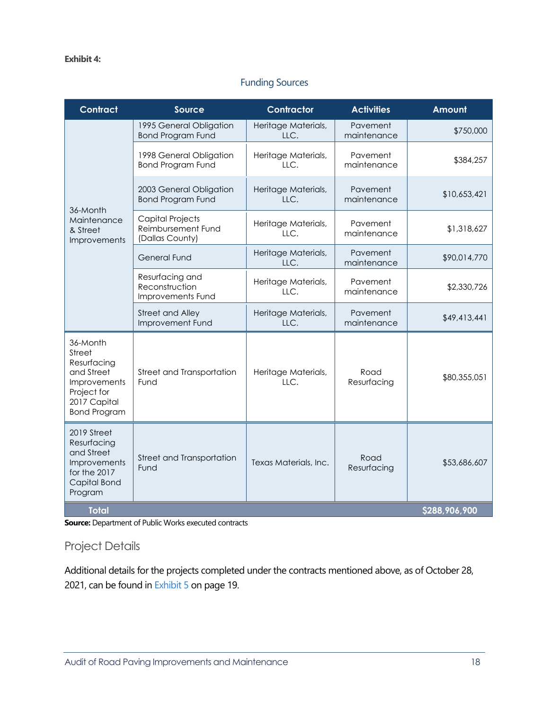### Funding Sources

<span id="page-19-0"></span>

| <b>Contract</b>                                                                                                       | <b>Source</b>                                                    | Contractor                                   | <b>Activities</b>       | Amount       |  |  |  |  |
|-----------------------------------------------------------------------------------------------------------------------|------------------------------------------------------------------|----------------------------------------------|-------------------------|--------------|--|--|--|--|
| 36-Month<br>Maintenance<br>& Street<br>Improvements                                                                   | 1995 General Obligation<br><b>Bond Program Fund</b>              | Heritage Materials,<br>LLC.                  | Pavement<br>maintenance | \$750,000    |  |  |  |  |
|                                                                                                                       | 1998 General Obligation<br><b>Bond Program Fund</b>              | Heritage Materials,<br>LLC.                  | Pavement<br>maintenance | \$384,257    |  |  |  |  |
|                                                                                                                       | 2003 General Obligation<br><b>Bond Program Fund</b>              | Heritage Materials,<br>LLC.                  | Pavement<br>maintenance | \$10,653,421 |  |  |  |  |
|                                                                                                                       | <b>Capital Projects</b><br>Reimbursement Fund<br>(Dallas County) | Heritage Materials,<br>LLC.                  | Pavement<br>maintenance | \$1,318,627  |  |  |  |  |
|                                                                                                                       | <b>General Fund</b>                                              | Heritage Materials,<br>LLC.                  | Pavement<br>maintenance | \$90,014,770 |  |  |  |  |
|                                                                                                                       | Resurfacing and<br>Reconstruction<br>Improvements Fund           | Heritage Materials,<br>LLC.                  | Pavement<br>maintenance | \$2,330,726  |  |  |  |  |
|                                                                                                                       | <b>Street and Alley</b><br>Improvement Fund                      | Heritage Materials,<br>LLC.                  | Pavement<br>maintenance | \$49,413,441 |  |  |  |  |
| 36-Month<br>Street<br>Resurfacing<br>and Street<br>Improvements<br>Project for<br>2017 Capital<br><b>Bond Program</b> | Street and Transportation<br>Fund                                | Heritage Materials,<br>LLC.                  | Road<br>Resurfacing     | \$80,355,051 |  |  |  |  |
| 2019 Street<br>Resurfacing<br>and Street<br>Improvements<br>for the 2017<br>Capital Bond<br>Program                   | Street and Transportation<br>Fund                                | Road<br>Texas Materials, Inc.<br>Resurfacing |                         | \$53,686,607 |  |  |  |  |
| <b>Total</b>                                                                                                          | \$288,906,900                                                    |                                              |                         |              |  |  |  |  |

**Source:** Department of Public Works executed contracts

### Project Details

Additional details for the projects completed under the contracts mentioned above, as of October 28, 2021, can be found i[n Exhibit 5 o](#page-20-0)n page 19.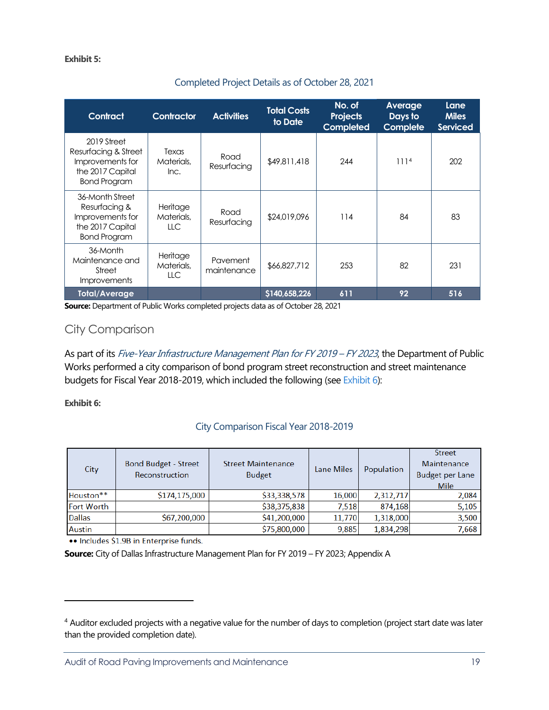#### <span id="page-20-0"></span>**Exhibit 5:**

### Completed Project Details as of October 28, 2021

| <b>Contract</b>                                                                                    | Contractor                     | <b>Activities</b>       | <b>Total Costs</b><br>to Date | No. of<br><b>Projects</b><br>Completed | Average<br>Days to<br><b>Complete</b> | Lane<br><b>Miles</b><br><b>Serviced</b> |
|----------------------------------------------------------------------------------------------------|--------------------------------|-------------------------|-------------------------------|----------------------------------------|---------------------------------------|-----------------------------------------|
| 2019 Street<br>Resurfacing & Street<br>Improvements for<br>the 2017 Capital<br><b>Bond Program</b> | Texas<br>Materials,<br>Inc.    | Road<br>Resurfacing     | \$49,811,418                  | 244                                    | 111 <sup>4</sup>                      | 202                                     |
| 36-Month Street<br>Resurfacing &<br>Improvements for<br>the 2017 Capital<br><b>Bond Program</b>    | Heritage<br>Materials,<br>LLC. | Road<br>Resurfacing     | \$24,019,096                  | 114                                    | 84                                    | 83                                      |
| 36-Month<br>Maintenance and<br>Street<br><i>Improvements</i>                                       | Heritage<br>Materials,<br>LLC. | Pavement<br>maintenance | \$66,827,712                  | 253                                    | 82                                    | 231                                     |
| <b>Total/Average</b>                                                                               |                                |                         | \$140,658,226                 | 611                                    | 92                                    | 516                                     |

**Source:** Department of Public Works completed projects data as of October 28, 2021

### City Comparison

As part of its Five-Year Infrastructure Management Plan for FY 2019 – FY 2023, the Department of Public Works performed a city comparison of bond program street reconstruction and street maintenance budgets for Fiscal Year 2018-2019, which included the following (see [Exhibit 6\):](#page-20-1)

#### <span id="page-20-1"></span>**Exhibit 6:**

#### City Comparison Fiscal Year 2018-2019

| City              | <b>Bond Budget - Street</b><br>Reconstruction | <b>Street Maintenance</b><br><b>Budget</b> | Lane Miles | Population | <b>Street</b><br>Maintenance<br><b>Budget per Lane</b><br>Mile |
|-------------------|-----------------------------------------------|--------------------------------------------|------------|------------|----------------------------------------------------------------|
| Houston**         | \$174,175,000                                 | \$33,338,578                               | 16,000     | 2,312,717  | 2,084                                                          |
| <b>Fort Worth</b> |                                               | \$38,375,838                               | 7,518      | 874,168    | 5,105                                                          |
| <b>Dallas</b>     | \$67,200,000                                  | \$41,200,000                               | 11,770     | 1,318,000  | 3,500                                                          |
| <b>Austin</b>     |                                               | \$75,800,000                               | 9,885      | 1,834,298  | 7,668                                                          |

.. Includes \$1.9B in Enterprise funds.

**Source:** City of Dallas Infrastructure Management Plan for FY 2019 – FY 2023; Appendix A

<span id="page-20-2"></span><sup>&</sup>lt;sup>4</sup> Auditor excluded projects with a negative value for the number of days to completion (project start date was later than the provided completion date).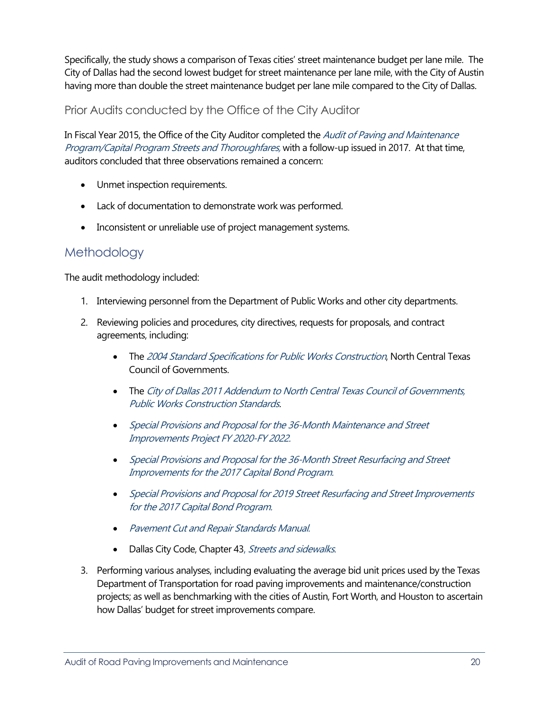Specifically, the study shows a comparison of Texas cities' street maintenance budget per lane mile. The City of Dallas had the second lowest budget for street maintenance per lane mile, with the City of Austin having more than double the street maintenance budget per lane mile compared to the City of Dallas.

Prior Audits conducted by the Office of the City Auditor

In Fiscal Year 2015, the Office of the City Auditor completed the *Audit of Paving and Maintenance* Program/Capital Program Streets and Thoroughfares, with a follow-up issued in 2017. At that time, auditors concluded that three observations remained a concern:

- Unmet inspection requirements.
- Lack of documentation to demonstrate work was performed.
- Inconsistent or unreliable use of project management systems.

### <span id="page-21-0"></span>[Methodology](#page-1-0)

The audit methodology included:

- 1. Interviewing personnel from the Department of Public Works and other city departments.
- 2. Reviewing policies and procedures, city directives, requests for proposals, and contract agreements, including:
	- The 2004 Standard Specifications for Public Works Construction, North Central Texas Council of Governments.
	- The City of Dallas 2011 Addendum to North Central Texas Council of Governments, Public Works Construction Standards.
	- Special Provisions and Proposal for the 36-Month Maintenance and Street Improvements Project FY 2020-FY 2022.
	- Special Provisions and Proposal for the 36-Month Street Resurfacing and Street Improvements for the 2017 Capital Bond Program.
	- Special Provisions and Proposal for 2019 Street Resurfacing and Street Improvements for the 2017 Capital Bond Program.
	- Pavement Cut and Repair Standards Manual.
	- Dallas City Code, Chapter 43, Streets and sidewalks.
- 3. Performing various analyses, including evaluating the average bid unit prices used by the Texas Department of Transportation for road paving improvements and maintenance/construction projects; as well as benchmarking with the cities of Austin, Fort Worth, and Houston to ascertain how Dallas' budget for street improvements compare.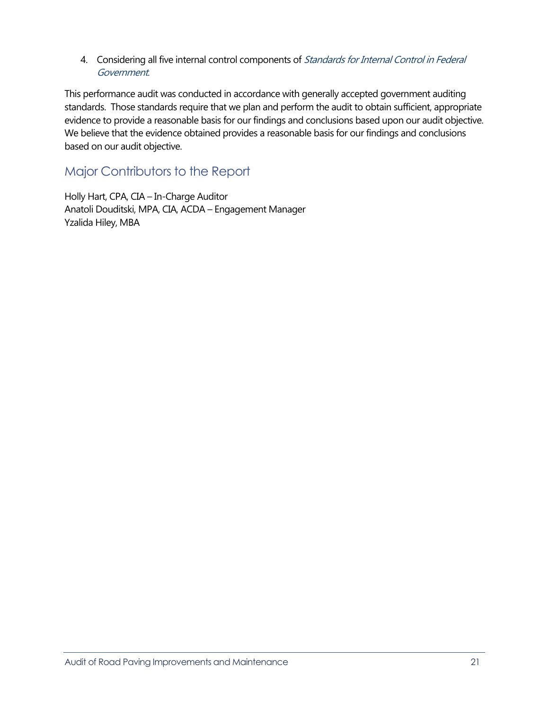4. Considering all five internal control components of Standards for Internal Control in Federal Government.

This performance audit was conducted in accordance with generally accepted government auditing standards. Those standards require that we plan and perform the audit to obtain sufficient, appropriate evidence to provide a reasonable basis for our findings and conclusions based upon our audit objective. We believe that the evidence obtained provides a reasonable basis for our findings and conclusions based on our audit objective.

### <span id="page-22-0"></span>[Major Contributors to the Report](#page-1-0)

Holly Hart, CPA, CIA – In-Charge Auditor Anatoli Douditski, MPA, CIA, ACDA – Engagement Manager Yzalida Hiley, MBA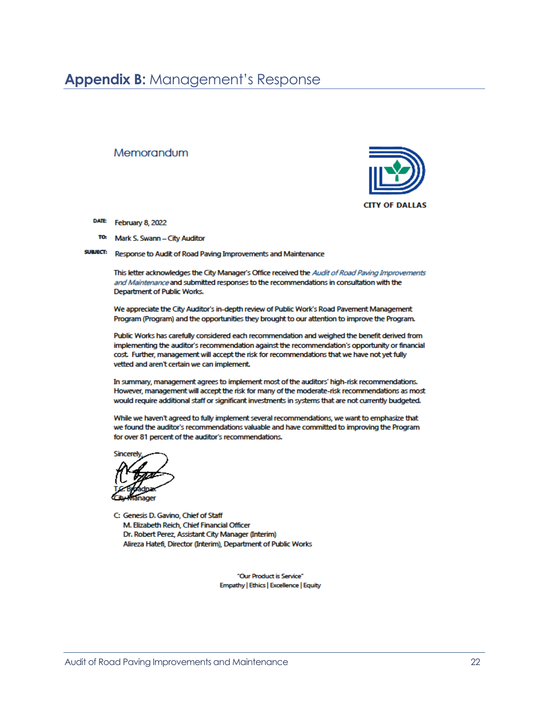### <span id="page-23-0"></span>**Appendix B:** [Management's Response](#page-1-0)

#### Memorandum



- DATE: February 8, 2022
- TO. Mark S. Swann - City Auditor

**SUBJECT:** Response to Audit of Road Paving Improvements and Maintenance

> This letter acknowledges the City Manager's Office received the Audit of Road Paving Improvements and Maintenance and submitted responses to the recommendations in consultation with the Department of Public Works.

We appreciate the City Auditor's in-depth review of Public Work's Road Pavement Management Program (Program) and the opportunities they brought to our attention to improve the Program.

Public Works has carefully considered each recommendation and weighed the benefit derived from implementing the auditor's recommendation against the recommendation's opportunity or financial cost. Further, management will accept the risk for recommendations that we have not yet fully vetted and aren't certain we can implement.

In summary, management agrees to implement most of the auditors' high-risk recommendations. However, management will accept the risk for many of the moderate-risk recommendations as most would require additional staff or significant investments in systems that are not currently budgeted.

While we haven't agreed to fully implement several recommendations, we want to emphasize that we found the auditor's recommendations valuable and have committed to improving the Program for over 81 percent of the auditor's recommendations.

C: Genesis D. Gavino, Chief of Staff M. Elizabeth Reich, Chief Financial Officer Dr. Robert Perez, Assistant City Manager (Interim) Alireza Hatefi, Director (Interim), Department of Public Works

> "Our Product is Service" Empathy | Ethics | Excellence | Equity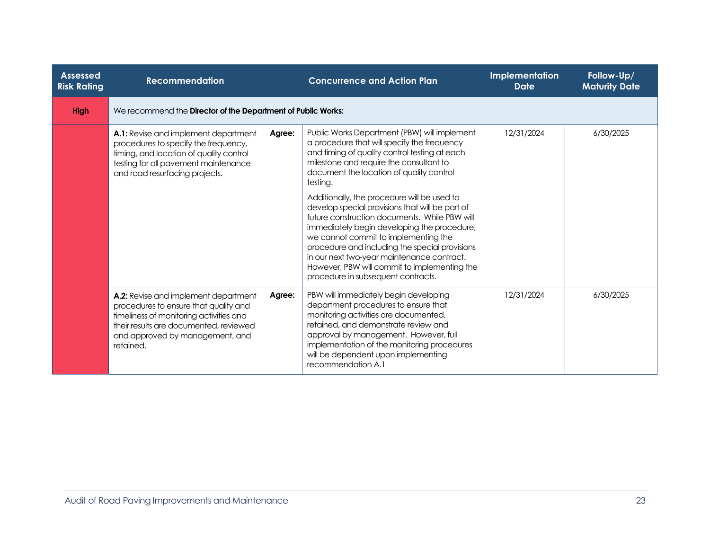| <b>Assessed</b><br><b>Risk Rating</b> | <b>Recommendation</b>                                                                                                                                                                                              |                                                              | <b>Concurrence and Action Plan</b>                                                                                                                                                                                                                                                                                                                                                                                           |            | Implementation<br><b>Date</b> | Follow-Up/<br><b>Maturity Date</b> |  |  |
|---------------------------------------|--------------------------------------------------------------------------------------------------------------------------------------------------------------------------------------------------------------------|--------------------------------------------------------------|------------------------------------------------------------------------------------------------------------------------------------------------------------------------------------------------------------------------------------------------------------------------------------------------------------------------------------------------------------------------------------------------------------------------------|------------|-------------------------------|------------------------------------|--|--|
| <b>High</b>                           |                                                                                                                                                                                                                    | We recommend the Director of the Department of Public Works: |                                                                                                                                                                                                                                                                                                                                                                                                                              |            |                               |                                    |  |  |
|                                       | A.1: Revise and implement department<br>procedures to specify the frequency,<br>timing, and location of quality control<br>testing for all pavement maintenance<br>and road resurfacing projects.                  | Agree:                                                       | Public Works Department (PBW) will implement<br>a procedure that will specify the frequency<br>and timing of quality control testing at each<br>milestone and require the consultant to<br>document the location of quality control<br>testing.                                                                                                                                                                              | 12/31/2024 | 6/30/2025                     |                                    |  |  |
|                                       |                                                                                                                                                                                                                    |                                                              | Additionally, the procedure will be used to<br>develop special provisions that will be part of<br>future construction documents. While PBW will<br>immediately begin developing the procedure,<br>we cannot commit to implementing the<br>procedure and including the special provisions<br>in our next two-year maintenance contract.<br>However, PBW will commit to implementing the<br>procedure in subsequent contracts. |            |                               |                                    |  |  |
|                                       | A.2: Revise and implement department<br>procedures to ensure that quality and<br>timeliness of monitoring activities and<br>their results are documented, reviewed<br>and approved by management, and<br>retained. | Agree:                                                       | PBW will immediately begin developing<br>department procedures to ensure that<br>monitoring activities are documented,<br>retained, and demonstrate review and<br>approval by management. However, full<br>implementation of the monitoring procedures<br>will be dependent upon implementing<br>recommendation A.1                                                                                                          | 12/31/2024 | 6/30/2025                     |                                    |  |  |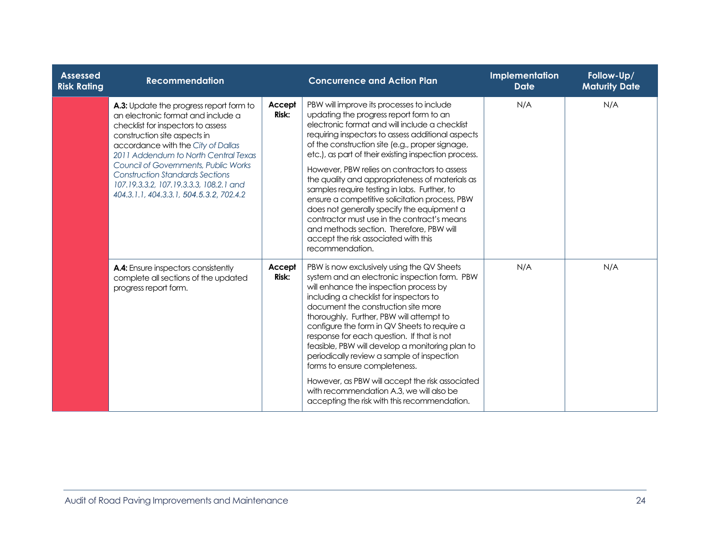| <b>Assessed</b><br><b>Risk Rating</b> | <b>Recommendation</b>                                                                                                                                                                                                                                                                                                                                                                                      |                 | <b>Concurrence and Action Plan</b>                                                                                                                                                                                                                                                                                                                                                                                                                                                                                                                                                                                                                                                                              | Implementation<br><b>Date</b> | Follow-Up/<br><b>Maturity Date</b> |
|---------------------------------------|------------------------------------------------------------------------------------------------------------------------------------------------------------------------------------------------------------------------------------------------------------------------------------------------------------------------------------------------------------------------------------------------------------|-----------------|-----------------------------------------------------------------------------------------------------------------------------------------------------------------------------------------------------------------------------------------------------------------------------------------------------------------------------------------------------------------------------------------------------------------------------------------------------------------------------------------------------------------------------------------------------------------------------------------------------------------------------------------------------------------------------------------------------------------|-------------------------------|------------------------------------|
|                                       | A.3: Update the progress report form to<br>an electronic format and include a<br>checklist for inspectors to assess<br>construction site aspects in<br>accordance with the City of Dallas<br>2011 Addendum to North Central Texas<br>Council of Governments, Public Works<br><b>Construction Standards Sections</b><br>107.19.3.3.2, 107.19.3.3.3, 108.2.1 and<br>404.3.1.1, 404.3.3.1, 504.5.3.2, 702.4.2 | Accept<br>Risk: | PBW will improve its processes to include<br>updating the progress report form to an<br>electronic format and will include a checklist<br>requiring inspectors to assess additional aspects<br>of the construction site (e.g., proper signage,<br>etc.), as part of their existing inspection process.<br>However, PBW relies on contractors to assess<br>the quality and appropriateness of materials as<br>samples require testing in labs. Further, to<br>ensure a competitive solicitation process, PBW<br>does not generally specify the equipment a<br>contractor must use in the contract's means<br>and methods section. Therefore, PBW will<br>accept the risk associated with this<br>recommendation. | N/A                           | N/A                                |
|                                       | A.4: Ensure inspectors consistently<br>complete all sections of the updated<br>progress report form.                                                                                                                                                                                                                                                                                                       | Accept<br>Risk: | PBW is now exclusively using the QV Sheets<br>system and an electronic inspection form. PBW<br>will enhance the inspection process by<br>including a checklist for inspectors to<br>document the construction site more<br>thoroughly. Further, PBW will attempt to<br>configure the form in QV Sheets to require a<br>response for each question. If that is not<br>feasible, PBW will develop a monitoring plan to<br>periodically review a sample of inspection<br>forms to ensure completeness.<br>However, as PBW will accept the risk associated<br>with recommendation A.3, we will also be<br>accepting the risk with this recommendation.                                                              | N/A                           | N/A                                |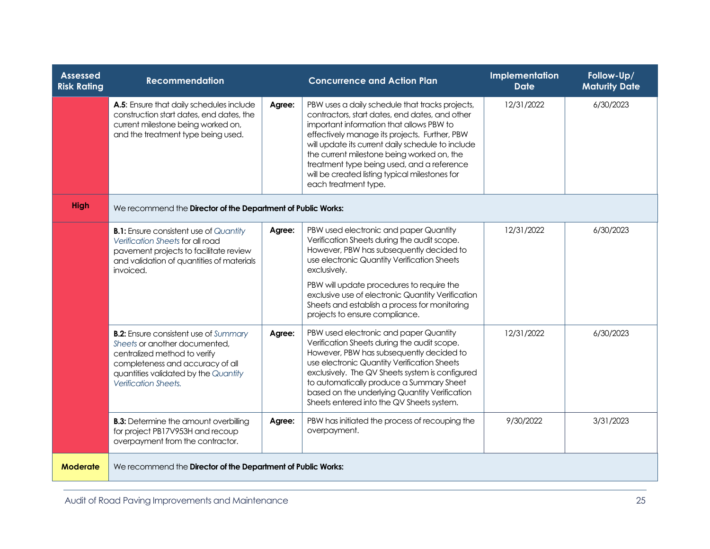| <b>Assessed</b><br><b>Risk Rating</b> | <b>Recommendation</b>                                                                                                                                                                                             |        | <b>Concurrence and Action Plan</b>                                                                                                                                                                                                                                                                                                                                                                                        | Implementation<br><b>Date</b> | Follow-Up/<br><b>Maturity Date</b> |  |
|---------------------------------------|-------------------------------------------------------------------------------------------------------------------------------------------------------------------------------------------------------------------|--------|---------------------------------------------------------------------------------------------------------------------------------------------------------------------------------------------------------------------------------------------------------------------------------------------------------------------------------------------------------------------------------------------------------------------------|-------------------------------|------------------------------------|--|
|                                       | A.5: Ensure that daily schedules include<br>construction start dates, end dates, the<br>current milestone being worked on,<br>and the treatment type being used.                                                  | Agree: | PBW uses a daily schedule that tracks projects,<br>contractors, start dates, end dates, and other<br>important information that allows PBW to<br>effectively manage its projects. Further, PBW<br>will update its current daily schedule to include<br>the current milestone being worked on, the<br>treatment type being used, and a reference<br>will be created listing typical milestones for<br>each treatment type. | 12/31/2022                    | 6/30/2023                          |  |
| High                                  | We recommend the Director of the Department of Public Works:                                                                                                                                                      |        |                                                                                                                                                                                                                                                                                                                                                                                                                           |                               |                                    |  |
|                                       | <b>B.1:</b> Ensure consistent use of Quantity<br><b>Verification Sheets for all road</b><br>pavement projects to facilitate review<br>and validation of quantities of materials<br>invoiced.                      | Agree: | PBW used electronic and paper Quantity<br>Verification Sheets during the audit scope.<br>However, PBW has subsequently decided to<br>use electronic Quantity Verification Sheets<br>exclusively.<br>PBW will update procedures to require the<br>exclusive use of electronic Quantity Verification<br>Sheets and establish a process for monitoring<br>projects to ensure compliance.                                     | 12/31/2022                    | 6/30/2023                          |  |
|                                       | <b>B.2:</b> Ensure consistent use of Summary<br>Sheets or another documented,<br>centralized method to verify<br>completeness and accuracy of all<br>quantities validated by the Quantity<br>Verification Sheets. | Agree: | PBW used electronic and paper Quantity<br>Verification Sheets during the audit scope.<br>However, PBW has subsequently decided to<br>use electronic Quantity Verification Sheets<br>exclusively. The QV Sheets system is configured<br>to automatically produce a Summary Sheet<br>based on the underlying Quantity Verification<br>Sheets entered into the QV Sheets system.                                             | 12/31/2022                    | 6/30/2023                          |  |
|                                       | <b>B.3:</b> Determine the amount overbilling<br>for project PB17V953H and recoup<br>overpayment from the contractor.                                                                                              | Agree: | PBW has initiated the process of recouping the<br>overpayment.                                                                                                                                                                                                                                                                                                                                                            | 9/30/2022                     | 3/31/2023                          |  |
| Moderate                              | We recommend the Director of the Department of Public Works:                                                                                                                                                      |        |                                                                                                                                                                                                                                                                                                                                                                                                                           |                               |                                    |  |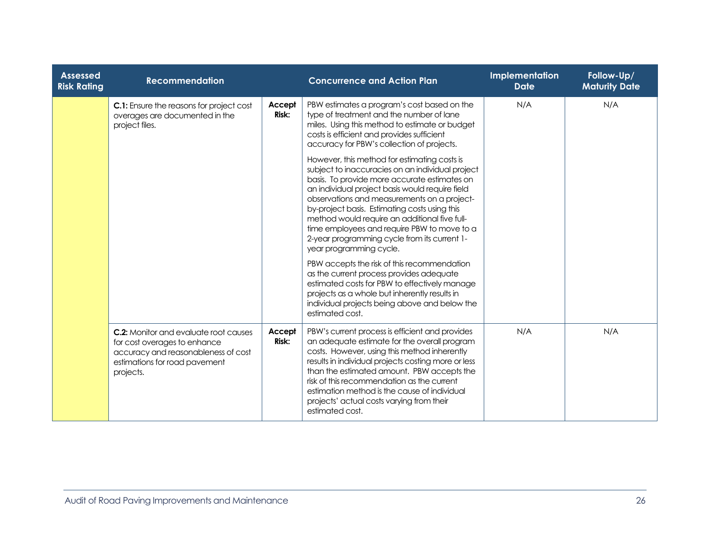| <b>Assessed</b><br><b>Risk Rating</b> | <b>Recommendation</b>                                                                                                                                             |                 | <b>Concurrence and Action Plan</b>                                                                                                                                                                                                                                                                                                                                                                                                                                             | Implementation<br><b>Date</b> | Follow-Up/<br><b>Maturity Date</b> |
|---------------------------------------|-------------------------------------------------------------------------------------------------------------------------------------------------------------------|-----------------|--------------------------------------------------------------------------------------------------------------------------------------------------------------------------------------------------------------------------------------------------------------------------------------------------------------------------------------------------------------------------------------------------------------------------------------------------------------------------------|-------------------------------|------------------------------------|
|                                       | <b>C.1:</b> Ensure the reasons for project cost<br>overages are documented in the<br>project files.                                                               | Accept<br>Risk: | PBW estimates a program's cost based on the<br>type of treatment and the number of lane<br>miles. Using this method to estimate or budget<br>costs is efficient and provides sufficient<br>accuracy for PBW's collection of projects.                                                                                                                                                                                                                                          | N/A                           | N/A                                |
|                                       |                                                                                                                                                                   |                 | However, this method for estimating costs is<br>subject to inaccuracies on an individual project<br>basis. To provide more accurate estimates on<br>an individual project basis would require field<br>observations and measurements on a project-<br>by-project basis. Estimating costs using this<br>method would require an additional five full-<br>time employees and require PBW to move to a<br>2-year programming cycle from its current 1-<br>year programming cycle. |                               |                                    |
|                                       |                                                                                                                                                                   |                 | PBW accepts the risk of this recommendation<br>as the current process provides adequate<br>estimated costs for PBW to effectively manage<br>projects as a whole but inherently results in<br>individual projects being above and below the<br>estimated cost.                                                                                                                                                                                                                  |                               |                                    |
|                                       | <b>C.2:</b> Monitor and evaluate root causes<br>for cost overages to enhance<br>accuracy and reasonableness of cost<br>estimations for road pavement<br>projects. | Accept<br>Risk: | PBW's current process is efficient and provides<br>an adequate estimate for the overall program<br>costs. However, using this method inherently<br>results in individual projects costing more or less<br>than the estimated amount. PBW accepts the<br>risk of this recommendation as the current<br>estimation method is the cause of individual<br>projects' actual costs varying from their<br>estimated cost.                                                             | N/A                           | N/A                                |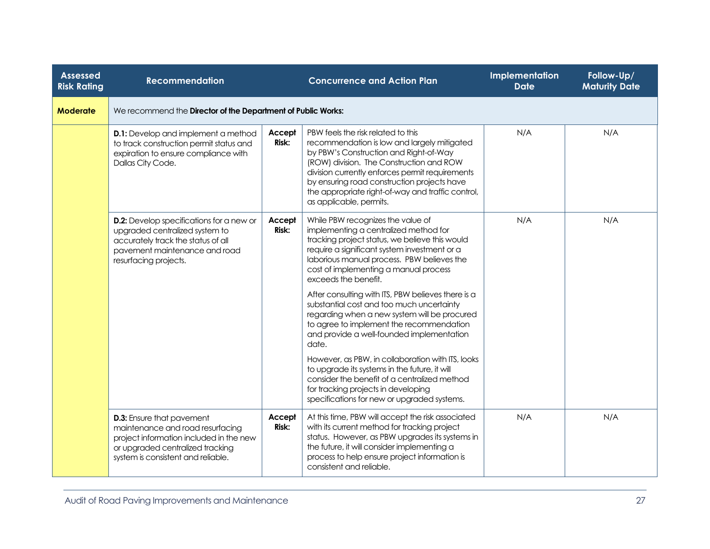| <b>Assessed</b><br><b>Risk Rating</b> | <b>Recommendation</b>                                                                                                                                                                     |                        | <b>Concurrence and Action Plan</b>                                                                                                                                                                                                                                                                                                                        | Implementation<br><b>Date</b> | Follow-Up/<br><b>Maturity Date</b> |  |  |  |
|---------------------------------------|-------------------------------------------------------------------------------------------------------------------------------------------------------------------------------------------|------------------------|-----------------------------------------------------------------------------------------------------------------------------------------------------------------------------------------------------------------------------------------------------------------------------------------------------------------------------------------------------------|-------------------------------|------------------------------------|--|--|--|
| <b>Moderate</b>                       | We recommend the Director of the Department of Public Works:                                                                                                                              |                        |                                                                                                                                                                                                                                                                                                                                                           |                               |                                    |  |  |  |
|                                       | <b>D.1:</b> Develop and implement a method<br>to track construction permit status and<br>expiration to ensure compliance with<br>Dallas City Code.                                        | Accept<br><b>Risk:</b> | PBW feels the risk related to this<br>recommendation is low and largely mitigated<br>by PBW's Construction and Right-of-Way<br>(ROW) division. The Construction and ROW<br>division currently enforces permit requirements<br>by ensuring road construction projects have<br>the appropriate right-of-way and traffic control,<br>as applicable, permits. | N/A                           | N/A                                |  |  |  |
|                                       | <b>D.2:</b> Develop specifications for a new or<br>upgraded centralized system to<br>accurately track the status of all<br>pavement maintenance and road<br>resurfacing projects.         | Accept<br>Risk:        | While PBW recognizes the value of<br>implementing a centralized method for<br>tracking project status, we believe this would<br>require a significant system investment or a<br>laborious manual process. PBW believes the<br>cost of implementing a manual process<br>exceeds the benefit.                                                               | N/A                           | N/A                                |  |  |  |
|                                       |                                                                                                                                                                                           |                        | After consulting with ITS, PBW believes there is a<br>substantial cost and too much uncertainty<br>regarding when a new system will be procured<br>to agree to implement the recommendation<br>and provide a well-founded implementation<br>date.                                                                                                         |                               |                                    |  |  |  |
|                                       |                                                                                                                                                                                           |                        | However, as PBW, in collaboration with ITS, looks<br>to upgrade its systems in the future, it will<br>consider the benefit of a centralized method<br>for tracking projects in developing<br>specifications for new or upgraded systems.                                                                                                                  |                               |                                    |  |  |  |
|                                       | <b>D.3:</b> Ensure that pavement<br>maintenance and road resurfacing<br>project information included in the new<br>or upgraded centralized tracking<br>system is consistent and reliable. | Accept<br><b>Risk:</b> | At this time, PBW will accept the risk associated<br>with its current method for tracking project<br>status. However, as PBW upgrades its systems in<br>the future, it will consider implementing a<br>process to help ensure project information is<br>consistent and reliable.                                                                          | N/A                           | N/A                                |  |  |  |